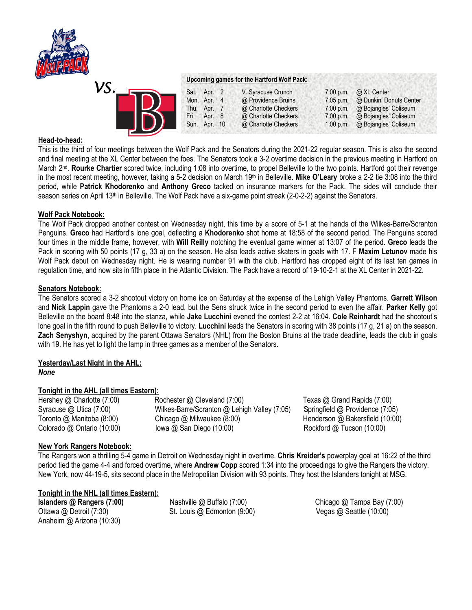

|      |              | Upcoming games for the Hartford Wolf Pack: |             |                         |
|------|--------------|--------------------------------------------|-------------|-------------------------|
| Sat. | Apr. 2       | V. Syracuse Crunch                         | 7:00 p.m.   | @ XL Center             |
|      | Mon. Apr. 4  | @ Providence Bruins                        | $7:05$ p.m. | @ Dunkin' Donuts Center |
| Thu. | Apr. 7       | @ Charlotte Checkers                       | 7:00 p.m.   | @ Bojangles' Coliseum   |
| Fri. | Apr. 8       | @ Charlotte Checkers                       | 7:00 p.m.   | @ Bojangles' Coliseum   |
|      | Sun. Apr. 10 | @ Charlotte Checkers                       | 1:00 p.m.   | @ Bojangles' Coliseum   |
|      |              |                                            |             |                         |

### **Head-to-head:**

This is the third of four meetings between the Wolf Pack and the Senators during the 2021-22 regular season. This is also the second and final meeting at the XL Center between the foes. The Senators took a 3-2 overtime decision in the previous meeting in Hartford on March 2<sup>nd</sup>. Rourke Chartier scored twice, including 1:08 into overtime, to propel Belleville to the two points. Hartford got their revenge in the most recent meeting, however, taking a 5-2 decision on March 19<sup>th</sup> in Belleville. Mike O'Leary broke a 2-2 tie 3:08 into the third period, while **Patrick Khodorenko** and **Anthony Greco** tacked on insurance markers for the Pack. The sides will conclude their season series on April 13<sup>th</sup> in Belleville. The Wolf Pack have a six-game point streak (2-0-2-2) against the Senators.

### **Wolf Pack Notebook:**

The Wolf Pack dropped another contest on Wednesday night, this time by a score of 5-1 at the hands of the Wilkes-Barre/Scranton Penguins. **Greco** had Hartford's lone goal, deflecting a **Khodorenko** shot home at 18:58 of the second period. The Penguins scored four times in the middle frame, however, with **Will Reilly** notching the eventual game winner at 13:07 of the period. **Greco** leads the Pack in scoring with 50 points (17 g, 33 a) on the season. He also leads active skaters in goals with 17. F **Maxim Letunov** made his Wolf Pack debut on Wednesday night. He is wearing number 91 with the club. Hartford has dropped eight of its last ten games in regulation time, and now sits in fifth place in the Atlantic Division. The Pack have a record of 19-10-2-1 at the XL Center in 2021-22.

### **Senators Notebook:**

The Senators scored a 3-2 shootout victory on home ice on Saturday at the expense of the Lehigh Valley Phantoms. **Garrett Wilson**  and **Nick Lappin** gave the Phantoms a 2-0 lead, but the Sens struck twice in the second period to even the affair. **Parker Kelly** got Belleville on the board 8:48 into the stanza, while **Jake Lucchini** evened the contest 2-2 at 16:04. **Cole Reinhardt** had the shootout's lone goal in the fifth round to push Belleville to victory. **Lucchini** leads the Senators in scoring with 38 points (17 g, 21 a) on the season. **Zach Senyshyn**, acquired by the parent Ottawa Senators (NHL) from the Boston Bruins at the trade deadline, leads the club in goals with 19. He has yet to light the lamp in three games as a member of the Senators.

### **Yesterday/Last Night in the AHL:** *None*

# **Tonight in the AHL (all times Eastern):**

Hershey @ Charlotte (7:00) Rochester @ Cleveland (7:00) Texas @ Grand Rapids (7:00) Syracuse @ Utica (7:00) Wilkes-Barre/Scranton @ Lehigh Valley (7:05) Springfield @ Providence (7:05) Toronto @ Manitoba (8:00) Chicago @ Milwaukee (8:00) Henderson @ Bakersfield (10:00) Colorado @ Ontario (10:00) Iowa @ San Diego (10:00) Rockford @ Tucson (10:00)

# **New York Rangers Notebook:**

The Rangers won a thrilling 5-4 game in Detroit on Wednesday night in overtime. **Chris Kreider's** powerplay goal at 16:22 of the third period tied the game 4-4 and forced overtime, where **Andrew Copp** scored 1:34 into the proceedings to give the Rangers the victory. New York, now 44-19-5, sits second place in the Metropolitan Division with 93 points. They host the Islanders tonight at MSG.

# **Tonight in the NHL (all times Eastern):**

Ottawa @ Detroit (7:30) St. Louis @ Edmonton (9:00) Vegas @ Seattle (10:00) Anaheim @ Arizona (10:30)

**Islanders @ Rangers** (7:00) **Nashville @ Buffalo (7:00) Chicago @ Tampa Bay (7:00) Chicago @ Tampa Bay (7:00)**